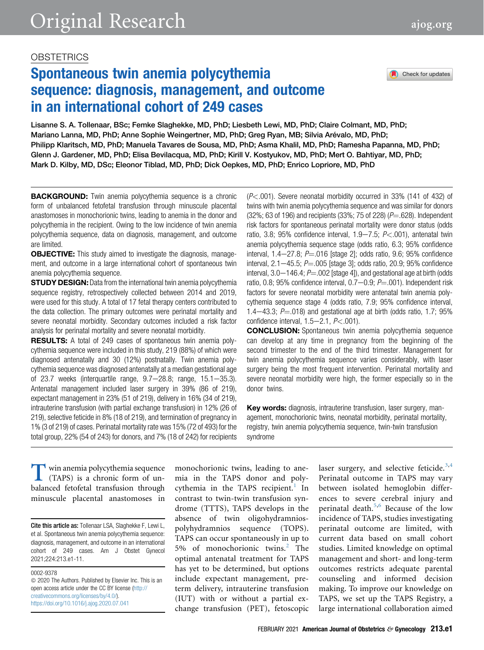# **OBSTETRICS**

# Spontaneous twin anemia polycythemia sequence: diagnosis, management, and outcome in an international cohort of 249 cases

Check for updates

Lisanne S. A. Tollenaar, BSc; Femke Slaghekke, MD, PhD; Liesbeth Lewi, MD, PhD; Claire Colmant, MD, PhD; Mariano Lanna, MD, PhD; Anne Sophie Weingertner, MD, PhD; Greg Ryan, MB; Silvia Arévalo, MD, PhD; Philipp Klaritsch, MD, PhD; Manuela Tavares de Sousa, MD, PhD; Asma Khalil, MD, PhD; Ramesha Papanna, MD, PhD; Glenn J. Gardener, MD, PhD; Elisa Bevilacqua, MD, PhD; Kirill V. Kostyukov, MD, PhD; Mert O. Bahtiyar, MD, PhD; Mark D. Kilby, MD, DSc; Eleonor Tiblad, MD, PhD; Dick Oepkes, MD, PhD; Enrico Lopriore, MD, PhD

**BACKGROUND:** Twin anemia polycythemia sequence is a chronic form of unbalanced fetofetal transfusion through minuscule placental anastomoses in monochorionic twins, leading to anemia in the donor and polycythemia in the recipient. Owing to the low incidence of twin anemia polycythemia sequence, data on diagnosis, management, and outcome are limited.

**OBJECTIVE:** This study aimed to investigate the diagnosis, management, and outcome in a large international cohort of spontaneous twin anemia polycythemia sequence.

**STUDY DESIGN:** Data from the international twin anemia polycythemia sequence registry, retrospectively collected between 2014 and 2019, were used for this study. A total of 17 fetal therapy centers contributed to the data collection. The primary outcomes were perinatal mortality and severe neonatal morbidity. Secondary outcomes included a risk factor analysis for perinatal mortality and severe neonatal morbidity.

RESULTS: A total of 249 cases of spontaneous twin anemia polycythemia sequence were included in this study, 219 (88%) of which were diagnosed antenatally and 30 (12%) postnatally. Twin anemia polycythemia sequence was diagnosed antenatally at a median gestational age of 23.7 weeks (interquartile range,  $9.7-28.8$ ; range,  $15.1-35.3$ ). Antenatal management included laser surgery in 39% (86 of 219), expectant management in 23% (51 of 219), delivery in 16% (34 of 219), intrauterine transfusion (with partial exchange transfusion) in 12% (26 of 219), selective feticide in 8% (18 of 219), and termination of pregnancy in 1% (3 of 219) of cases. Perinatal mortality rate was 15% (72 of 493) for the total group, 22% (54 of 243) for donors, and 7% (18 of 242) for recipients  $(P<.001)$ . Severe neonatal morbidity occurred in 33% (141 of 432) of twins with twin anemia polycythemia sequence and was similar for donors  $(32\%; 63$  of 196) and recipients  $(33\%; 75$  of 228)  $(P=.628)$ . Independent risk factors for spontaneous perinatal mortality were donor status (odds ratio, 3.8; 95% confidence interval, 1.9-7.5;  $P < .001$ ), antenatal twin anemia polycythemia sequence stage (odds ratio, 6.3; 95% confidence interval,  $1.4-27.8$ ;  $P = 016$  [stage 2]; odds ratio, 9.6; 95% confidence interval,  $2.1-45.5$ ;  $P = .005$  [stage 3]; odds ratio, 20.9; 95% confidence interval,  $3.0-146.4$ ;  $P = .002$  [stage 4]), and gestational age at birth (odds ratio, 0.8; 95% confidence interval, 0.7 $-0.9$ ;  $P = .001$ ). Independent risk factors for severe neonatal morbidity were antenatal twin anemia polycythemia sequence stage 4 (odds ratio, 7.9; 95% confidence interval, 1.4 $-43.3$ ; P $=$ .018) and gestational age at birth (odds ratio, 1.7; 95% confidence interval,  $1.5-2.1$ ,  $P < .001$ ).

**CONCLUSION:** Spontaneous twin anemia polycythemia sequence can develop at any time in pregnancy from the beginning of the second trimester to the end of the third trimester. Management for twin anemia polycythemia sequence varies considerably, with laser surgery being the most frequent intervention. Perinatal mortality and severe neonatal morbidity were high, the former especially so in the donor twins.

Key words: diagnosis, intrauterine transfusion, laser surgery, management, monochorionic twins, neonatal morbidity, perinatal mortality, registry, twin anemia polycythemia sequence, twin-twin transfusion syndrome

T win anemia polycythemia sequence<br>
(TAPS) is a chronic form of un-<br>
balanced fetofetal transfusion through<br>
minuscule placental anastomoses in (TAPS) is a chronic form of unbalanced fetofetal transfusion through minuscule placental anastomoses in

Cite this article as: Tollenaar LSA, Slaghekke F, Lewi L, et al. Spontaneous twin anemia polycythemia sequence: diagnosis, management, and outcome in an international cohort of 249 cases. Am J Obstet Gynecol 2021;224:213.e1-11.

0002-9378

 $\odot$  2020 The Authors. Published by Elsevier Inc. This is an open access article under the CC BY license [\(http://](http://creativecommons.org/licenses/by/4.0/) [creativecommons.org/licenses/by/4.0/\)](http://creativecommons.org/licenses/by/4.0/). <https://doi.org/10.1016/j.ajog.2020.07.041>

monochorionic twins, leading to anemia in the TAPS donor and poly-cythemia in the TAPS recipient.<sup>[1](#page-6-0)</sup> In contrast to twin-twin transfusion syndrome (TTTS), TAPS develops in the absence of twin oligohydramniospolyhydramnios sequence (TOPS). TAPS can occur spontaneously in up to 5% of monochorionic twins.[2](#page-6-1) The optimal antenatal treatment for TAPS has yet to be determined, but options include expectant management, preterm delivery, intrauterine transfusion (IUT) with or without a partial exchange transfusion (PET), fetoscopic laser surgery, and selective feticide.<sup>[3](#page-6-2)[,4](#page-6-3)</sup> Perinatal outcome in TAPS may vary between isolated hemoglobin differences to severe cerebral injury and perinatal death.[5,](#page-6-4)[6](#page-6-5) Because of the low incidence of TAPS, studies investigating perinatal outcome are limited, with current data based on small cohort studies. Limited knowledge on optimal management and short- and long-term outcomes restricts adequate parental counseling and informed decision making. To improve our knowledge on TAPS, we set up the TAPS Registry, a large international collaboration aimed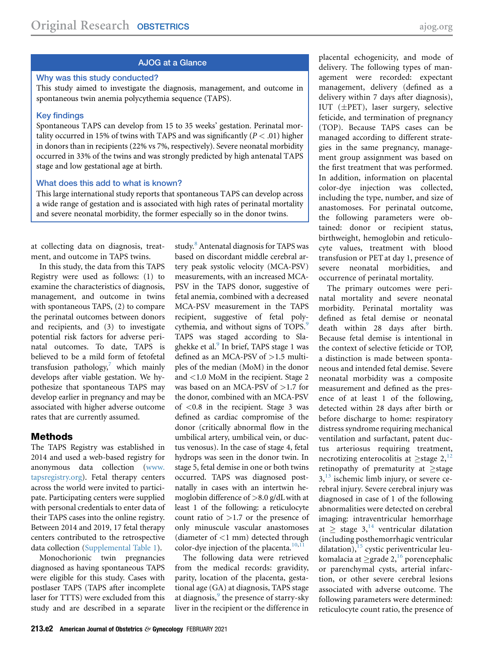# AJOG at a Glance

#### Why was this study conducted?

This study aimed to investigate the diagnosis, management, and outcome in spontaneous twin anemia polycythemia sequence (TAPS).

#### Key findings

Spontaneous TAPS can develop from 15 to 35 weeks' gestation. Perinatal mortality occurred in 15% of twins with TAPS and was significantly ( $P < .01$ ) higher in donors than in recipients (22% vs 7%, respectively). Severe neonatal morbidity occurred in 33% of the twins and was strongly predicted by high antenatal TAPS stage and low gestational age at birth.

#### What does this add to what is known?

This large international study reports that spontaneous TAPS can develop across a wide range of gestation and is associated with high rates of perinatal mortality and severe neonatal morbidity, the former especially so in the donor twins.

at collecting data on diagnosis, treatment, and outcome in TAPS twins.

In this study, the data from this TAPS Registry were used as follows: (1) to examine the characteristics of diagnosis, management, and outcome in twins with spontaneous TAPS, (2) to compare the perinatal outcomes between donors and recipients, and (3) to investigate potential risk factors for adverse perinatal outcomes. To date, TAPS is believed to be a mild form of fetofetal transfusion pathology, $\bar{y}$  which mainly develops after viable gestation. We hypothesize that spontaneous TAPS may develop earlier in pregnancy and may be associated with higher adverse outcome rates that are currently assumed.

#### Methods

The TAPS Registry was established in 2014 and used a web-based registry for anonymous data collection ([www.](http://www.tapsregistry.org) [tapsregistry.org\)](http://www.tapsregistry.org). Fetal therapy centers across the world were invited to participate. Participating centers were supplied with personal credentials to enter data of their TAPS cases into the online registry. Between 2014 and 2019, 17 fetal therapy centers contributed to the retrospective data collection [\(Supplemental Table 1\)](#page-8-0).

Monochorionic twin pregnancies diagnosed as having spontaneous TAPS were eligible for this study. Cases with postlaser TAPS (TAPS after incomplete laser for TTTS) were excluded from this study and are described in a separate

study.<sup>[8](#page-6-7)</sup> Antenatal diagnosis for TAPS was based on discordant middle cerebral artery peak systolic velocity (MCA-PSV) measurements, with an increased MCA-PSV in the TAPS donor, suggestive of fetal anemia, combined with a decreased MCA-PSV measurement in the TAPS recipient, suggestive of fetal poly-cythemia, and without signs of TOPS.<sup>[9](#page-6-8)</sup> TAPS was staged according to Sla-ghekke et al.<sup>[9](#page-6-8)</sup> In brief, TAPS stage 1 was defined as an MCA-PSV of >1.5 multiples of the median (MoM) in the donor and <1.0 MoM in the recipient. Stage 2 was based on an MCA-PSV of >1.7 for the donor, combined with an MCA-PSV of <0.8 in the recipient. Stage 3 was defined as cardiac compromise of the donor (critically abnormal flow in the umbilical artery, umbilical vein, or ductus venosus). In the case of stage 4, fetal hydrops was seen in the donor twin. In stage 5, fetal demise in one or both twins occurred. TAPS was diagnosed postnatally in cases with an intertwin hemoglobin difference of >8.0 g/dL with at least 1 of the following: a reticulocyte count ratio of  $>1.7$  or the presence of only minuscule vascular anastomoses (diameter of <1 mm) detected through color-dye injection of the placenta.<sup>[10](#page-6-9)[,11](#page-6-10)</sup>

The following data were retrieved from the medical records: gravidity, parity, location of the placenta, gestational age (GA) at diagnosis, TAPS stage at diagnosis,<sup>[9](#page-6-8)</sup> the presence of starry-sky liver in the recipient or the difference in

placental echogenicity, and mode of delivery. The following types of management were recorded: expectant management, delivery (defined as a delivery within 7 days after diagnosis), IUT (±PET), laser surgery, selective feticide, and termination of pregnancy (TOP). Because TAPS cases can be managed according to different strategies in the same pregnancy, management group assignment was based on the first treatment that was performed. In addition, information on placental color-dye injection was collected, including the type, number, and size of anastomoses. For perinatal outcome, the following parameters were obtained: donor or recipient status, birthweight, hemoglobin and reticulocyte values, treatment with blood transfusion or PET at day 1, presence of severe neonatal morbidities, and occurrence of perinatal mortality.

The primary outcomes were perinatal mortality and severe neonatal morbidity. Perinatal mortality was defined as fetal demise or neonatal death within 28 days after birth. Because fetal demise is intentional in the context of selective feticide or TOP, a distinction is made between spontaneous and intended fetal demise. Severe neonatal morbidity was a composite measurement and defined as the presence of at least 1 of the following, detected within 28 days after birth or before discharge to home: respiratory distress syndrome requiring mechanical ventilation and surfactant, patent ductus arteriosus requiring treatment, necrotizing enterocolitis at  $\geq$ stage 2,<sup>[12](#page-6-11)</sup> retinopathy of prematurity at  $\geq$ stage  $3<sup>13</sup>$  $3<sup>13</sup>$  $3<sup>13</sup>$  ischemic limb injury, or severe cerebral injury. Severe cerebral injury was diagnosed in case of 1 of the following abnormalities were detected on cerebral imaging: intraventricular hemorrhage at  $\geq$  stage 3,<sup>[14](#page-6-13)</sup> ventricular dilatation (including posthemorrhagic ventricular dilatation), $^{15}$  $^{15}$  $^{15}$  cystic periventricular leukomalacia at  $\geq$ grade 2,<sup>[16](#page-6-15)</sup> porencephalic or parenchymal cysts, arterial infarction, or other severe cerebral lesions associated with adverse outcome. The following parameters were determined: reticulocyte count ratio, the presence of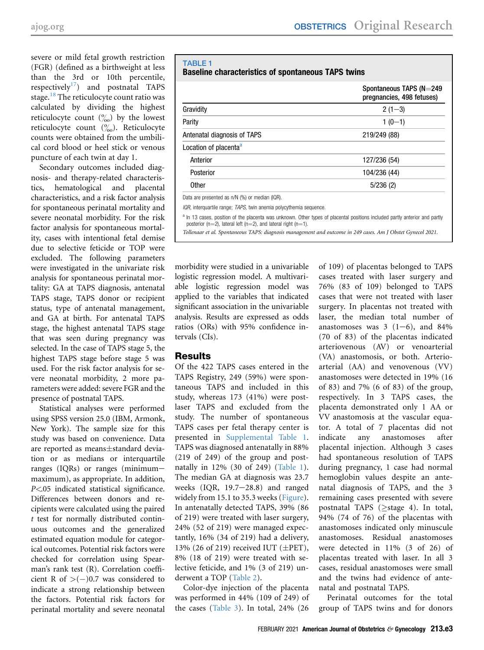severe or mild fetal growth restriction (FGR) (defined as a birthweight at less than the 3rd or 10th percentile, respectively<sup>[17](#page-7-0)</sup>) and postnatal TAPS stage.<sup>[18](#page-7-1)</sup> The reticulocyte count ratio was calculated by dividing the highest reticulocyte count  $\binom{0}{00}$  by the lowest reticulocyte count  $\binom{0}{00}$ . Reticulocyte counts were obtained from the umbilical cord blood or heel stick or venous puncture of each twin at day 1.

Secondary outcomes included diagnosis- and therapy-related characteristics, hematological and placental characteristics, and a risk factor analysis for spontaneous perinatal mortality and severe neonatal morbidity. For the risk factor analysis for spontaneous mortality, cases with intentional fetal demise due to selective feticide or TOP were excluded. The following parameters were investigated in the univariate risk analysis for spontaneous perinatal mortality: GA at TAPS diagnosis, antenatal TAPS stage, TAPS donor or recipient status, type of antenatal management, and GA at birth. For antenatal TAPS stage, the highest antenatal TAPS stage that was seen during pregnancy was selected. In the case of TAPS stage 5, the highest TAPS stage before stage 5 was used. For the risk factor analysis for severe neonatal morbidity, 2 more parameters were added: severe FGR and the presence of postnatal TAPS.

Statistical analyses were performed using SPSS version 25.0 (IBM, Armonk, New York). The sample size for this study was based on convenience. Data are reported as means±standard deviation or as medians or interquartile ranges (IQRs) or ranges (minimummaximum), as appropriate. In addition, P<.05 indicated statistical significance. Differences between donors and recipients were calculated using the paired t test for normally distributed continuous outcomes and the generalized estimated equation module for categorical outcomes. Potential risk factors were checked for correlation using Spearman's rank test (R). Correlation coefficient R of  $>(-)0.7$  was considered to indicate a strong relationship between the factors. Potential risk factors for perinatal mortality and severe neonatal

# <span id="page-2-0"></span>TABLE 1 Baseline characteristics of spontaneous TAPS twins

|                                                | Spontaneous TAPS ( $N=249$<br>pregnancies, 498 fetuses) |
|------------------------------------------------|---------------------------------------------------------|
| Gravidity                                      | $2(1-3)$                                                |
| Parity                                         | $1(0-1)$                                                |
| Antenatal diagnosis of TAPS                    | 219/249 (88)                                            |
| Location of placenta <sup>a</sup>              |                                                         |
| Anterior                                       | 127/236 (54)                                            |
| Posterior                                      | 104/236 (44)                                            |
| <b>Other</b>                                   | 5/236(2)                                                |
| Data are presented as n/N (%) or median (IQR). |                                                         |

IQR, interquartile range; TAPS, twin anemia polycythemia sequence.

<span id="page-2-1"></span>a In 13 cases, position of the placenta was unknown. Other types of placental positions included partly anterior and partly posterior (n=2), lateral left (n=2), and lateral right (n=1).

Tollenaar et al. Spontaneous TAPS: diagnosis management and outcome in 249 cases. Am J Obstet Gynecol 2021.

morbidity were studied in a univariable logistic regression model. A multivariable logistic regression model was applied to the variables that indicated significant association in the univariable analysis. Results are expressed as odds ratios (ORs) with 95% confidence intervals (CIs).

# Results

Of the 422 TAPS cases entered in the TAPS Registry, 249 (59%) were spontaneous TAPS and included in this study, whereas 173 (41%) were postlaser TAPS and excluded from the study. The number of spontaneous TAPS cases per fetal therapy center is presented in [Supplemental Table 1](#page-8-0). TAPS was diagnosed antenatally in 88% (219 of 249) of the group and postnatally in 12% (30 of 249) ([Table 1](#page-2-0)). The median GA at diagnosis was 23.7 weeks  $(IQR, 19.7-28.8)$  and ranged widely from 15.1 to 35.3 weeks ([Figure](#page-3-0)). In antenatally detected TAPS, 39% (86 of 219) were treated with laser surgery, 24% (52 of 219) were managed expectantly, 16% (34 of 219) had a delivery, 13% (26 of 219) received IUT ( $\pm$ PET), 8% (18 of 219) were treated with selective feticide, and 1% (3 of 219) underwent a TOP ([Table 2\)](#page-4-0).

Color-dye injection of the placenta was performed in 44% (109 of 249) of the cases ([Table 3\)](#page-5-0). In total, 24% (26

of 109) of placentas belonged to TAPS cases treated with laser surgery and 76% (83 of 109) belonged to TAPS cases that were not treated with laser surgery. In placentas not treated with laser, the median total number of anastomoses was  $3(1-6)$ , and  $84\%$ (70 of 83) of the placentas indicated arteriovenous (AV) or venoarterial (VA) anastomosis, or both. Arterioarterial (AA) and venovenous (VV) anastomoses were detected in 19% (16 of 83) and 7% (6 of 83) of the group, respectively. In 3 TAPS cases, the placenta demonstrated only 1 AA or VV anastomosis at the vascular equator. A total of 7 placentas did not indicate any anastomoses after placental injection. Although 3 cases had spontaneous resolution of TAPS during pregnancy, 1 case had normal hemoglobin values despite an antenatal diagnosis of TAPS, and the 3 remaining cases presented with severe postnatal TAPS ( $\geq$ stage 4). In total, 94% (74 of 76) of the placentas with anastomoses indicated only minuscule anastomoses. Residual anastomoses were detected in 11% (3 of 26) of placentas treated with laser. In all 3 cases, residual anastomoses were small and the twins had evidence of antenatal and postnatal TAPS.

Perinatal outcomes for the total group of TAPS twins and for donors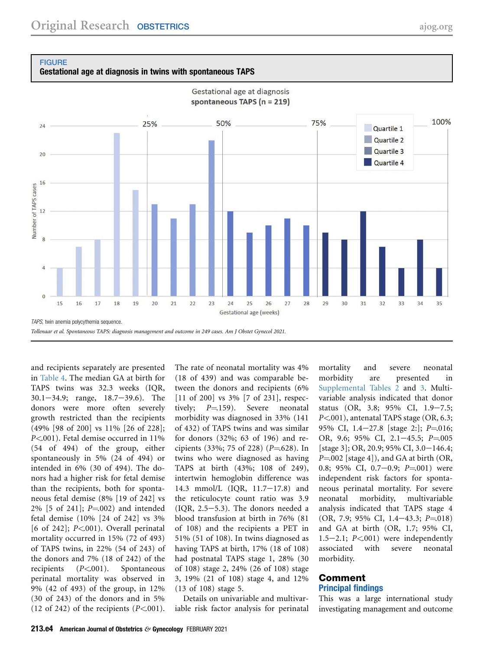<span id="page-3-0"></span>

Gestational age at diagnosis in twins with spontaneous TAPS



Gestational age at diagnosis

and recipients separately are presented in [Table 4](#page-6-16). The median GA at birth for TAPS twins was 32.3 weeks (IQR,  $30.1 - 34.9$ ; range,  $18.7 - 39.6$ ). The donors were more often severely growth restricted than the recipients (49% [98 of 200] vs 11% [26 of 228]; P<.001). Fetal demise occurred in 11% (54 of 494) of the group, either spontaneously in 5% (24 of 494) or intended in 6% (30 of 494). The donors had a higher risk for fetal demise than the recipients, both for spontaneous fetal demise (8% [19 of 242] vs 2% [5 of 241];  $P = 002$  and intended fetal demise (10% [24 of 242] vs 3% [6 of 242];  $P<.001$ ). Overall perinatal mortality occurred in 15% (72 of 493) of TAPS twins, in 22% (54 of 243) of the donors and 7% (18 of 242) of the recipients  $(P<.001)$ . Spontaneous perinatal mortality was observed in 9% (42 of 493) of the group, in 12% (30 of 243) of the donors and in 5% (12 of 242) of the recipients  $(P<.001)$ .

The rate of neonatal mortality was 4% (18 of 439) and was comparable between the donors and recipients (6% [11 of 200] vs 3% [7 of 231], respectively;  $P = 159$ . Severe neonatal morbidity was diagnosed in 33% (141 of 432) of TAPS twins and was similar for donors (32%; 63 of 196) and recipients (33%; 75 of 228) ( $P = 628$ ). In twins who were diagnosed as having TAPS at birth (43%; 108 of 249), intertwin hemoglobin difference was 14.3 mmol/L (IQR, 11.7-17.8) and the reticulocyte count ratio was 3.9  $(IOR, 2.5-5.3)$ . The donors needed a blood transfusion at birth in 76% (81 of 108) and the recipients a PET in 51% (51 of 108). In twins diagnosed as having TAPS at birth, 17% (18 of 108) had postnatal TAPS stage 1, 28% (30 of 108) stage 2, 24% (26 of 108) stage 3, 19% (21 of 108) stage 4, and 12% (13 of 108) stage 5.

Details on univariable and multivariable risk factor analysis for perinatal

mortality and severe neonatal morbidity are presented in [Supplemental Tables 2](#page-9-0) and [3](#page-10-0). Multivariable analysis indicated that donor status (OR, 3.8; 95% CI, 1.9-7.5; P<.001), antenatal TAPS stage (OR, 6.3; 95% CI,  $1.4-27.8$  [stage 2:];  $P=016$ ; OR, 9.6; 95% CI, 2.1-45.5;  $P = 005$ [stage 3]; OR, 20.9; 95% CI, 3.0-146.4;  $P=002$  [stage 4]), and GA at birth (OR, 0.8; 95% CI, 0.7-0.9;  $P = 0.01$ ) were independent risk factors for spontaneous perinatal mortality. For severe neonatal morbidity, multivariable analysis indicated that TAPS stage 4  $(OR, 7.9; 95\% \text{ CI}, 1.4-43.3; P=0.018)$ and GA at birth (OR, 1.7; 95% CI, 1.5 $-2.1$ ;  $P<.001$ ) were independently associated with severe neonatal morbidity.

## Comment Principal findings

This was a large international study investigating management and outcome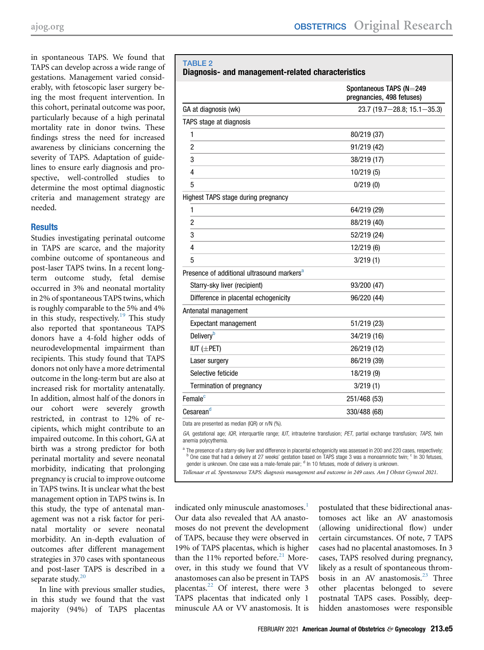in spontaneous TAPS. We found that TAPS can develop across a wide range of gestations. Management varied considerably, with fetoscopic laser surgery being the most frequent intervention. In this cohort, perinatal outcome was poor, particularly because of a high perinatal mortality rate in donor twins. These findings stress the need for increased awareness by clinicians concerning the severity of TAPS. Adaptation of guidelines to ensure early diagnosis and prospective, well-controlled studies to determine the most optimal diagnostic criteria and management strategy are needed.

## **Results**

Studies investigating perinatal outcome in TAPS are scarce, and the majority combine outcome of spontaneous and post-laser TAPS twins. In a recent longterm outcome study, fetal demise occurred in 3% and neonatal mortality in 2% of spontaneous TAPS twins, which is roughly comparable to the 5% and 4% in this study, respectively.<sup>[19](#page-7-2)</sup> This study also reported that spontaneous TAPS donors have a 4-fold higher odds of neurodevelopmental impairment than recipients. This study found that TAPS donors not only have a more detrimental outcome in the long-term but are also at increased risk for mortality antenatally. In addition, almost half of the donors in our cohort were severely growth restricted, in contrast to 12% of recipients, which might contribute to an impaired outcome. In this cohort, GA at birth was a strong predictor for both perinatal mortality and severe neonatal morbidity, indicating that prolonging pregnancy is crucial to improve outcome in TAPS twins. It is unclear what the best management option in TAPS twins is. In this study, the type of antenatal management was not a risk factor for perinatal mortality or severe neonatal morbidity. An in-depth evaluation of outcomes after different management strategies in 370 cases with spontaneous and post-laser TAPS is described in a separate study. $20$ 

In line with previous smaller studies, in this study we found that the vast majority (94%) of TAPS placentas

#### <span id="page-4-0"></span>TABLE 2 Diagnosis- and management-related characteristics

|                                                        | Spontaneous TAPS (N=249<br>pregnancies, 498 fetuses) |
|--------------------------------------------------------|------------------------------------------------------|
| GA at diagnosis (wk)                                   | 23.7 (19.7-28.8; 15.1-35.3)                          |
| TAPS stage at diagnosis                                |                                                      |
| 1                                                      | 80/219 (37)                                          |
| $\overline{2}$                                         | 91/219 (42)                                          |
| 3                                                      | 38/219 (17)                                          |
| 4                                                      | 10/219(5)                                            |
| 5                                                      | 0/219(0)                                             |
| Highest TAPS stage during pregnancy                    |                                                      |
| 1                                                      | 64/219 (29)                                          |
| $\overline{2}$                                         | 88/219 (40)                                          |
| 3                                                      | 52/219 (24)                                          |
| 4                                                      | 12/219 (6)                                           |
| 5                                                      | 3/219(1)                                             |
| Presence of additional ultrasound markers <sup>a</sup> |                                                      |
| Starry-sky liver (recipient)                           | 93/200 (47)                                          |
| Difference in placental echogenicity                   | 96/220 (44)                                          |
| Antenatal management                                   |                                                      |
| Expectant management                                   | 51/219 (23)                                          |
| <b>Delivery</b> <sup>b</sup>                           | 34/219 (16)                                          |
| IUT $(\pm$ PET)                                        | 26/219 (12)                                          |
| Laser surgery                                          | 86/219 (39)                                          |
| Selective feticide                                     | 18/219 (9)                                           |
| Termination of pregnancy                               | 3/219(1)                                             |
| Female <sup>c</sup>                                    | 251/468 (53)                                         |
| Cesareand                                              | 330/488 (68)                                         |
| Data are presented as median (IQR) or n/N (%).         |                                                      |

GA, gestational age; IQR, interquartile range; IUT, intrauterine transfusion; PET, partial exchange transfusion; TAPS, twin anemia polycythemia.

<span id="page-4-2"></span><span id="page-4-1"></span>The presence of a starry-sky liver and difference in placental echogenicity was assessed in 200 and 220 cases, respectively; <sup>b</sup> One case that had a delivery at 27 weeks' gestation based on TAPS stage 3 was a monoamniotic twin; <sup>c</sup> In 30 fetuses, gender is unknown. One case was a male-female pair; <sup>d</sup> In 10 fetuses, mode of delivery is unknown.

<span id="page-4-3"></span>Tollenaar et al. Spontaneous TAPS: diagnosis management and outcome in 249 cases. Am J Obstet Gynecol 2021.

indicated only minuscule anastomoses.<sup>[1](#page-6-0)</sup> Our data also revealed that AA anastomoses do not prevent the development of TAPS, because they were observed in 19% of TAPS placentas, which is higher than the 11% reported before. $^{21}$  $^{21}$  $^{21}$  Moreover, in this study we found that VV anastomoses can also be present in TAPS placentas.<sup>[22](#page-7-5)</sup> Of interest, there were 3 TAPS placentas that indicated only 1 minuscule AA or VV anastomosis. It is

postulated that these bidirectional anastomoses act like an AV anastomosis (allowing unidirectional flow) under certain circumstances. Of note, 7 TAPS cases had no placental anastomoses. In 3 cases, TAPS resolved during pregnancy, likely as a result of spontaneous throm-bosis in an AV anastomosis.<sup>[23](#page-7-6)</sup> Three other placentas belonged to severe postnatal TAPS cases. Possibly, deephidden anastomoses were responsible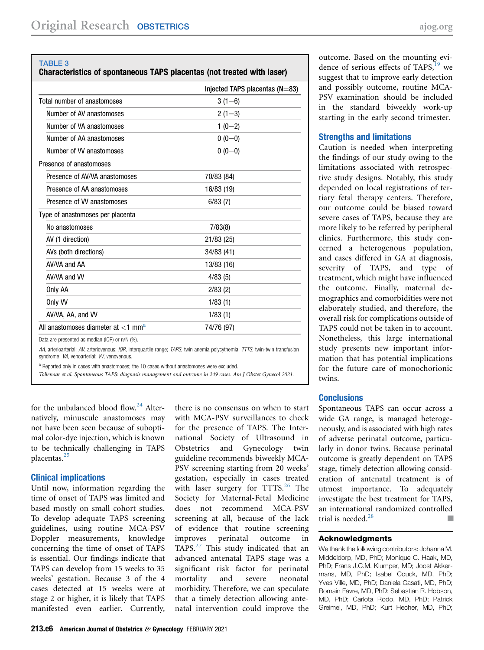#### <span id="page-5-0"></span>TABLE 3

# Characteristics of spontaneous TAPS placentas (not treated with laser)

|                                                   | Injected TAPS placentas $(N=83)$ |
|---------------------------------------------------|----------------------------------|
| Total number of anastomoses                       | $3(1-6)$                         |
| Number of AV anastomoses                          | $2(1-3)$                         |
| Number of VA anastomoses                          | $1(0-2)$                         |
| Number of AA anastomoses                          | $0(0-0)$                         |
| Number of VV anastomoses                          | $0(0-0)$                         |
| Presence of anastomoses                           |                                  |
| Presence of AV/VA anastomoses                     | 70/83 (84)                       |
| Presence of AA anastomoses                        | 16/83 (19)                       |
| Presence of W anastomoses                         | 6/83(7)                          |
| Type of anastomoses per placenta                  |                                  |
| No anastomoses                                    | 7/83(8)                          |
| AV (1 direction)                                  | 21/83 (25)                       |
| AVs (both directions)                             | 34/83 (41)                       |
| AV/VA and AA                                      | 13/83 (16)                       |
| AV/VA and VV                                      | 4/83(5)                          |
| Only AA                                           | 2/83(2)                          |
| Only VV                                           | 1/83(1)                          |
| AV/VA, AA, and W                                  | 1/83(1)                          |
| All anastomoses diameter at $<$ 1 mm <sup>a</sup> | 74/76 (97)                       |

syndrome; VA, venoarterial; VV, venovenous.

<span id="page-5-1"></span>a Reported only in cases with anastomoses; the 10 cases without anastomoses were excluded.

Tollenaar et al. Spontaneous TAPS: diagnosis management and outcome in 249 cases. Am J Obstet Gynecol 2021.

for the unbalanced blood flow.<sup>[24](#page-7-7)</sup> Alternatively, minuscule anastomoses may not have been seen because of suboptimal color-dye injection, which is known to be technically challenging in TAPS placentas.<sup>[25](#page-7-8)</sup>

## Clinical implications

Until now, information regarding the time of onset of TAPS was limited and based mostly on small cohort studies. To develop adequate TAPS screening guidelines, using routine MCA-PSV Doppler measurements, knowledge concerning the time of onset of TAPS is essential. Our findings indicate that TAPS can develop from 15 weeks to 35 weeks' gestation. Because 3 of the 4 cases detected at 15 weeks were at stage 2 or higher, it is likely that TAPS manifested even earlier. Currently,

there is no consensus on when to start with MCA-PSV surveillances to check for the presence of TAPS. The International Society of Ultrasound in Obstetrics and Gynecology twin guideline recommends biweekly MCA-PSV screening starting from 20 weeks' gestation, especially in cases treated with laser surgery for  $TTTS<sup>26</sup>$  $TTTS<sup>26</sup>$  $TTTS<sup>26</sup>$ . The Society for Maternal-Fetal Medicine does not recommend MCA-PSV screening at all, because of the lack of evidence that routine screening improves perinatal outcome in TAPS.<sup>[27](#page-7-10)</sup> This study indicated that an advanced antenatal TAPS stage was a significant risk factor for perinatal mortality and severe neonatal morbidity. Therefore, we can speculate that a timely detection allowing antenatal intervention could improve the

outcome. Based on the mounting evidence of serious effects of TAPS, $^{19}$  $^{19}$  $^{19}$  we suggest that to improve early detection and possibly outcome, routine MCA-PSV examination should be included in the standard biweekly work-up starting in the early second trimester.

### Strengths and limitations

Caution is needed when interpreting the findings of our study owing to the limitations associated with retrospective study designs. Notably, this study depended on local registrations of tertiary fetal therapy centers. Therefore, our outcome could be biased toward severe cases of TAPS, because they are more likely to be referred by peripheral clinics. Furthermore, this study concerned a heterogenous population, and cases differed in GA at diagnosis, severity of TAPS, and type of treatment, which might have influenced the outcome. Finally, maternal demographics and comorbidities were not elaborately studied, and therefore, the overall risk for complications outside of TAPS could not be taken in to account. Nonetheless, this large international study presents new important information that has potential implications for the future care of monochorionic twins.

## **Conclusions**

Spontaneous TAPS can occur across a wide GA range, is managed heterogeneously, and is associated with high rates of adverse perinatal outcome, particularly in donor twins. Because perinatal outcome is greatly dependent on TAPS stage, timely detection allowing consideration of antenatal treatment is of utmost importance. To adequately investigate the best treatment for TAPS, an international randomized controlled trial is needed.<sup>[28](#page-7-11)</sup> needed.<sup>28</sup>

### Acknowledgments

We thank the following contributors: Johanna M. Middeldorp, MD, PhD; Monique C. Haak, MD, PhD; Frans J.C.M. Klumper, MD; Joost Akkermans, MD, PhD; Isabel Couck, MD, PhD; Yves Ville, MD, PhD; Daniela Casati, MD, PhD; Romain Favre, MD, PhD; Sebastian R. Hobson, MD, PhD; Carlota Rodo, MD, PhD; Patrick Greimel, MD, PhD; Kurt Hecher, MD, PhD;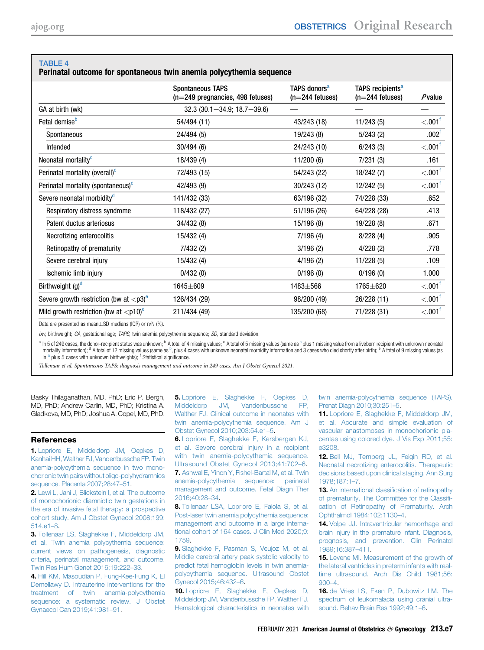## <span id="page-6-16"></span>TABLE 4

### Perinatal outcome for spontaneous twin anemia polycythemia sequence

|                                                         | <b>Spontaneous TAPS</b><br>(n=249 pregnancies, 498 fetuses) | TAPS donors <sup>a</sup><br>$(n=244$ fetuses) | TAPS recipients <sup>a</sup><br>$(n=244$ fetuses) | $P$ value             |
|---------------------------------------------------------|-------------------------------------------------------------|-----------------------------------------------|---------------------------------------------------|-----------------------|
| GA at birth (wk)                                        | $32.3(30.1 - 34.9; 18.7 - 39.6)$                            |                                               |                                                   |                       |
| Fetal demise <sup>b</sup>                               | 54/494 (11)                                                 | 43/243 (18)                                   | 11/243(5)                                         | $< 001^{\dagger}$     |
| Spontaneous                                             | 24/494 (5)                                                  | 19/243 (8)                                    | 5/243(2)                                          | .002 <sup>f</sup>     |
| Intended                                                | 30/494(6)                                                   | 24/243 (10)                                   | 6/243(3)                                          | $< 0.01$ <sup>t</sup> |
| Neonatal mortality <sup>c</sup>                         | 18/439 (4)                                                  | 11/200(6)                                     | 7/231(3)                                          | .161                  |
| Perinatal mortality (overall) <sup>c</sup>              | 72/493 (15)                                                 | 54/243 (22)                                   | 18/242 (7)                                        | $< .001$ <sup>f</sup> |
| Perinatal mortality (spontaneous) <sup>c</sup>          | 42/493 (9)                                                  | 30/243 (12)                                   | 12/242 (5)                                        | $< 0.01^{\dagger}$    |
| Severe neonatal morbidity <sup>d</sup>                  | 141/432 (33)                                                | 63/196 (32)                                   | 74/228 (33)                                       | .652                  |
| Respiratory distress syndrome                           | 118/432 (27)                                                | 51/196 (26)                                   | 64/228 (28)                                       | .413                  |
| Patent ductus arteriosus                                | 34/432 (8)                                                  | 15/196 (8)                                    | 19/228 (8)                                        | .671                  |
| Necrotizing enterocolitis                               | 15/432 (4)                                                  | 7/196(4)                                      | 8/228(4)                                          | .905                  |
| Retinopathy of prematurity                              | 7/432(2)                                                    | 3/196(2)                                      | 4/228(2)                                          | .778                  |
| Severe cerebral injury                                  | 15/432(4)                                                   | 4/196(2)                                      | 11/228(5)                                         | .109                  |
| Ischemic limb injury                                    | 0/432(0)                                                    | 0/196(0)                                      | 0/196(0)                                          | 1.000                 |
| Birthweight $(g)^d$                                     | 1645±609                                                    | 1483±566                                      | 1765±620                                          | $< 0.01^{\dagger}$    |
| Severe growth restriction (bw at ${<}p3$ ) <sup>e</sup> | 126/434 (29)                                                | 98/200 (49)                                   | 26/228 (11)                                       | $< 001^{\dagger}$     |
| Mild growth restriction (bw at $\langle p10 \rangle^e$  | 211/434 (49)                                                | 135/200 (68)                                  | 71/228 (31)                                       | $< 001$ <sup>f</sup>  |

Data are presented as mean $\pm$ SD medians (IQR) or n/N (%).

bw, birthweight; GA, gestational age; TAPS, twin anemia polycythemia sequence; SD, standard deviation.

<span id="page-6-19"></span><span id="page-6-17"></span><sup>[a](#page-6-17)</sup> In 5 of 249 cases, the donor-recipient status was unknown; <sup>b</sup> A total of 4 missing values; <sup>c</sup> A total of 5 missing values (same as <sup>a</sup> plus 1 missing value from a liveborn recipient with unknown neonatal mortality information); <sup>d</sup> A total of 12 missing values (same as <sup>[b](#page-6-17)</sup>, plus 4 cases with unknown neonatal morbidity information and 3 cases who died shortly after birth); <sup>e</sup> A total of 9 missing values (as in <sup>[a](#page-6-17)</sup> plus 5 cases with unknown birthweights); <sup>f</sup> Statistical significance.

<span id="page-6-18"></span>Tollenaar et al. Spontaneous TAPS: diagnosis management and outcome in 249 cases. Am J Obstet Gynecol 2021.

Basky Thilaganathan, MD, PhD; Eric P. Bergh, MD, PhD; Andrew Carlin, MD, PhD; Kristina A. Gladkova, MD, PhD; Joshua A. Copel, MD, PhD.

#### <span id="page-6-0"></span>References

1. [Lopriore E, Middeldorp JM, Oepkes D,](http://refhub.elsevier.com/S0002-9378(20)30773-0/sref1) [Kanhai HH, Walther FJ, Vandenbussche FP. Twin](http://refhub.elsevier.com/S0002-9378(20)30773-0/sref1) [anemia-polycythemia sequence in two mono](http://refhub.elsevier.com/S0002-9378(20)30773-0/sref1)[chorionic twin pairs without oligo-polyhydramnios](http://refhub.elsevier.com/S0002-9378(20)30773-0/sref1) [sequence. Placenta 2007;28:47](http://refhub.elsevier.com/S0002-9378(20)30773-0/sref1)–51.

<span id="page-6-1"></span>2. [Lewi L, Jani J, Blickstein I, et al. The outcome](http://refhub.elsevier.com/S0002-9378(20)30773-0/sref2) [of monochorionic diamniotic twin gestations in](http://refhub.elsevier.com/S0002-9378(20)30773-0/sref2) [the era of invasive fetal therapy: a prospective](http://refhub.elsevier.com/S0002-9378(20)30773-0/sref2) [cohort study. Am J Obstet Gynecol 2008;199:](http://refhub.elsevier.com/S0002-9378(20)30773-0/sref2) [514.e1](http://refhub.elsevier.com/S0002-9378(20)30773-0/sref2)–8.

<span id="page-6-2"></span>3. [Tollenaar LS, Slaghekke F, Middeldorp JM,](http://refhub.elsevier.com/S0002-9378(20)30773-0/sref3) [et al. Twin anemia polycythemia sequence:](http://refhub.elsevier.com/S0002-9378(20)30773-0/sref3) [current views on pathogenesis, diagnostic](http://refhub.elsevier.com/S0002-9378(20)30773-0/sref3) [criteria, perinatal management, and outcome.](http://refhub.elsevier.com/S0002-9378(20)30773-0/sref3) [Twin Res Hum Genet 2016;19:222](http://refhub.elsevier.com/S0002-9378(20)30773-0/sref3)–33.

<span id="page-6-3"></span>4. [Hill KM, Masoudian P, Fung-Kee-Fung K, El](http://refhub.elsevier.com/S0002-9378(20)30773-0/sref4) [Demellawy D. Intrauterine interventions for the](http://refhub.elsevier.com/S0002-9378(20)30773-0/sref4) [treatment of twin anemia-polycythemia](http://refhub.elsevier.com/S0002-9378(20)30773-0/sref4) [sequence: a systematic review. J Obstet](http://refhub.elsevier.com/S0002-9378(20)30773-0/sref4) [Gynaecol Can 2019;41:981](http://refhub.elsevier.com/S0002-9378(20)30773-0/sref4)–91.

<span id="page-6-4"></span>5. [Lopriore E, Slaghekke F, Oepkes D,](http://refhub.elsevier.com/S0002-9378(20)30773-0/sref5) [Middeldorp JM, Vandenbussche FP,](http://refhub.elsevier.com/S0002-9378(20)30773-0/sref5) [Walther FJ. Clinical outcome in neonates with](http://refhub.elsevier.com/S0002-9378(20)30773-0/sref5) [twin anemia-polycythemia sequence. Am J](http://refhub.elsevier.com/S0002-9378(20)30773-0/sref5) [Obstet Gynecol 2010;203:54.e1](http://refhub.elsevier.com/S0002-9378(20)30773-0/sref5)–5.

<span id="page-6-6"></span><span id="page-6-5"></span>6. [Lopriore E, Slaghekke F, Kersbergen KJ,](http://refhub.elsevier.com/S0002-9378(20)30773-0/sref6) [et al. Severe cerebral injury in a recipient](http://refhub.elsevier.com/S0002-9378(20)30773-0/sref6) [with twin anemia-polycythemia sequence.](http://refhub.elsevier.com/S0002-9378(20)30773-0/sref6) [Ultrasound Obstet Gynecol 2013;41:702](http://refhub.elsevier.com/S0002-9378(20)30773-0/sref6)–6. 7. [Ashwal E, Yinon Y, Fishel-Bartal M, et al. Twin](http://refhub.elsevier.com/S0002-9378(20)30773-0/sref7) [anemia-polycythemia sequence: perinatal](http://refhub.elsevier.com/S0002-9378(20)30773-0/sref7) [management and outcome. Fetal Diagn Ther](http://refhub.elsevier.com/S0002-9378(20)30773-0/sref7) [2016;40:28](http://refhub.elsevier.com/S0002-9378(20)30773-0/sref7)–34.

<span id="page-6-7"></span>8. [Tollenaar LSA, Lopriore E, Faiola S, et al.](http://refhub.elsevier.com/S0002-9378(20)30773-0/sref8) [Post-laser twin anemia polycythemia sequence:](http://refhub.elsevier.com/S0002-9378(20)30773-0/sref8) [management and outcome in a large interna](http://refhub.elsevier.com/S0002-9378(20)30773-0/sref8)[tional cohort of 164 cases. J Clin Med 2020;9:](http://refhub.elsevier.com/S0002-9378(20)30773-0/sref8) [1759.](http://refhub.elsevier.com/S0002-9378(20)30773-0/sref8)

<span id="page-6-8"></span>9. [Slaghekke F, Pasman S, Veujoz M, et al.](http://refhub.elsevier.com/S0002-9378(20)30773-0/sref9) [Middle cerebral artery peak systolic velocity to](http://refhub.elsevier.com/S0002-9378(20)30773-0/sref9) [predict fetal hemoglobin levels in twin anemia](http://refhub.elsevier.com/S0002-9378(20)30773-0/sref9)[polycythemia sequence. Ultrasound Obstet](http://refhub.elsevier.com/S0002-9378(20)30773-0/sref9) [Gynecol 2015;46:432](http://refhub.elsevier.com/S0002-9378(20)30773-0/sref9)–6.

<span id="page-6-9"></span>10. [Lopriore E, Slaghekke F, Oepkes D,](http://refhub.elsevier.com/S0002-9378(20)30773-0/sref10) [Middeldorp JM, Vandenbussche FP, Walther FJ.](http://refhub.elsevier.com/S0002-9378(20)30773-0/sref10) [Hematological characteristics in neonates with](http://refhub.elsevier.com/S0002-9378(20)30773-0/sref10) [twin anemia-polycythemia sequence \(TAPS\).](http://refhub.elsevier.com/S0002-9378(20)30773-0/sref10) [Prenat Diagn 2010;30:251](http://refhub.elsevier.com/S0002-9378(20)30773-0/sref10)–5.

<span id="page-6-10"></span>11. [Lopriore E, Slaghekke F, Middeldorp JM,](http://refhub.elsevier.com/S0002-9378(20)30773-0/sref11) [et al. Accurate and simple evaluation of](http://refhub.elsevier.com/S0002-9378(20)30773-0/sref11) [vascular anastomoses in monochorionic pla](http://refhub.elsevier.com/S0002-9378(20)30773-0/sref11)[centas using colored dye. J Vis Exp 2011;55:](http://refhub.elsevier.com/S0002-9378(20)30773-0/sref11) [e3208.](http://refhub.elsevier.com/S0002-9378(20)30773-0/sref11)

<span id="page-6-11"></span>12. [Bell MJ, Ternberg JL, Feigin RD, et al.](http://refhub.elsevier.com/S0002-9378(20)30773-0/sref12) [Neonatal necrotizing enterocolitis. Therapeutic](http://refhub.elsevier.com/S0002-9378(20)30773-0/sref12) [decisions based upon clinical staging. Ann Surg](http://refhub.elsevier.com/S0002-9378(20)30773-0/sref12) [1978;187:1](http://refhub.elsevier.com/S0002-9378(20)30773-0/sref12)–7.

<span id="page-6-12"></span>13. [An international classi](http://refhub.elsevier.com/S0002-9378(20)30773-0/sref13)fication of retinopathy [of prematurity. The Committee for the Classi](http://refhub.elsevier.com/S0002-9378(20)30773-0/sref13)fi[cation of Retinopathy of Prematurity. Arch](http://refhub.elsevier.com/S0002-9378(20)30773-0/sref13) [Ophthalmol 1984;102:1130](http://refhub.elsevier.com/S0002-9378(20)30773-0/sref13)–4.

<span id="page-6-13"></span>14. [Volpe JJ. Intraventricular hemorrhage and](http://refhub.elsevier.com/S0002-9378(20)30773-0/sref14) [brain injury in the premature infant. Diagnosis,](http://refhub.elsevier.com/S0002-9378(20)30773-0/sref14) [prognosis, and prevention. Clin Perinatol](http://refhub.elsevier.com/S0002-9378(20)30773-0/sref14) [1989;16:387](http://refhub.elsevier.com/S0002-9378(20)30773-0/sref14)–411.

<span id="page-6-14"></span>15. [Levene MI. Measurement of the growth of](http://refhub.elsevier.com/S0002-9378(20)30773-0/sref15) [the lateral ventricles in preterm infants with real](http://refhub.elsevier.com/S0002-9378(20)30773-0/sref15)[time ultrasound. Arch Dis Child 1981;56:](http://refhub.elsevier.com/S0002-9378(20)30773-0/sref15) [900](http://refhub.elsevier.com/S0002-9378(20)30773-0/sref15)–4.

<span id="page-6-15"></span>16. [de Vries LS, Eken P, Dubowitz LM. The](http://refhub.elsevier.com/S0002-9378(20)30773-0/sref16) [spectrum of leukomalacia using cranial ultra](http://refhub.elsevier.com/S0002-9378(20)30773-0/sref16)[sound. Behav Brain Res 1992;49:1](http://refhub.elsevier.com/S0002-9378(20)30773-0/sref16)–6.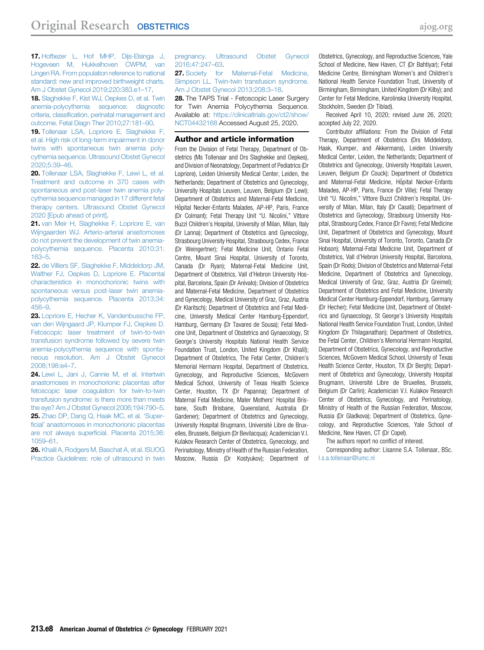<span id="page-7-0"></span>17. [Hoftiezer L, Hof MHP, Dijs-Elsinga J,](http://refhub.elsevier.com/S0002-9378(20)30773-0/sref17) [Hogeveen M, Hukkelhoven CWPM, van](http://refhub.elsevier.com/S0002-9378(20)30773-0/sref17) [Lingen RA. From population reference to national](http://refhub.elsevier.com/S0002-9378(20)30773-0/sref17) [standard: new and improved birthweight charts.](http://refhub.elsevier.com/S0002-9378(20)30773-0/sref17) [Am J Obstet Gynecol 2019;220:383.e1](http://refhub.elsevier.com/S0002-9378(20)30773-0/sref17)–17.

<span id="page-7-1"></span>18. [Slaghekke F, Kist WJ, Oepkes D, et al. Twin](http://refhub.elsevier.com/S0002-9378(20)30773-0/sref18) [anemia-polycythemia sequence: diagnostic](http://refhub.elsevier.com/S0002-9378(20)30773-0/sref18) criteria, classifi[cation, perinatal management and](http://refhub.elsevier.com/S0002-9378(20)30773-0/sref18) [outcome. Fetal Diagn Ther 2010;27:181](http://refhub.elsevier.com/S0002-9378(20)30773-0/sref18)–90.

<span id="page-7-2"></span>19. [Tollenaar LSA, Lopriore E, Slaghekke F,](http://refhub.elsevier.com/S0002-9378(20)30773-0/sref19) [et al. High risk of long-term impairment in donor](http://refhub.elsevier.com/S0002-9378(20)30773-0/sref19) [twins with spontaneous twin anemia poly](http://refhub.elsevier.com/S0002-9378(20)30773-0/sref19)[cythemia sequence. Ultrasound Obstet Gynecol](http://refhub.elsevier.com/S0002-9378(20)30773-0/sref19) [2020;5:39](http://refhub.elsevier.com/S0002-9378(20)30773-0/sref19)–46.

<span id="page-7-3"></span>20. [Tollenaar LSA, Slaghekke F, Lewi L, et al.](http://refhub.elsevier.com/S0002-9378(20)30773-0/sref20) [Treatment and outcome in 370 cases with](http://refhub.elsevier.com/S0002-9378(20)30773-0/sref20) [spontaneous and post-laser twin anemia poly](http://refhub.elsevier.com/S0002-9378(20)30773-0/sref20)[cythemia sequence managed in 17 different fetal](http://refhub.elsevier.com/S0002-9378(20)30773-0/sref20) [therapy centers. Ultrasound Obstet Gynecol](http://refhub.elsevier.com/S0002-9378(20)30773-0/sref20) [2020 \[Epub ahead of print\]](http://refhub.elsevier.com/S0002-9378(20)30773-0/sref20).

<span id="page-7-4"></span>21. [van Meir H, Slaghekke F, Lopriore E, van](http://refhub.elsevier.com/S0002-9378(20)30773-0/sref21) [Wijngaarden WJ. Arterio-arterial anastomoses](http://refhub.elsevier.com/S0002-9378(20)30773-0/sref21) [do not prevent the development of twin anemia](http://refhub.elsevier.com/S0002-9378(20)30773-0/sref21)[polycythemia sequence. Placenta 2010;31:](http://refhub.elsevier.com/S0002-9378(20)30773-0/sref21) [163](http://refhub.elsevier.com/S0002-9378(20)30773-0/sref21)–5.

<span id="page-7-5"></span>22. [de Villiers SF, Slaghekke F, Middeldorp JM,](http://refhub.elsevier.com/S0002-9378(20)30773-0/sref22) [Walther FJ, Oepkes D, Lopriore E. Placental](http://refhub.elsevier.com/S0002-9378(20)30773-0/sref22) [characteristics in monochorionic twins with](http://refhub.elsevier.com/S0002-9378(20)30773-0/sref22) [spontaneous versus post-laser twin anemia](http://refhub.elsevier.com/S0002-9378(20)30773-0/sref22)[polycythemia sequence. Placenta 2013;34:](http://refhub.elsevier.com/S0002-9378(20)30773-0/sref22) [456](http://refhub.elsevier.com/S0002-9378(20)30773-0/sref22)–9.

<span id="page-7-6"></span>23. [Lopriore E, Hecher K, Vandenbussche FP,](http://refhub.elsevier.com/S0002-9378(20)30773-0/sref23) [van den Wijngaard JP, Klumper FJ, Oepkes D.](http://refhub.elsevier.com/S0002-9378(20)30773-0/sref23) [Fetoscopic laser treatment of twin-to-twin](http://refhub.elsevier.com/S0002-9378(20)30773-0/sref23) [transfusion syndrome followed by severe twin](http://refhub.elsevier.com/S0002-9378(20)30773-0/sref23) [anemia-polycythemia sequence with sponta](http://refhub.elsevier.com/S0002-9378(20)30773-0/sref23)[neous resolution. Am J Obstet Gynecol](http://refhub.elsevier.com/S0002-9378(20)30773-0/sref23) [2008;198:e4](http://refhub.elsevier.com/S0002-9378(20)30773-0/sref23)–7.

<span id="page-7-7"></span>24. [Lewi L, Jani J, Cannie M, et al. Intertwin](http://refhub.elsevier.com/S0002-9378(20)30773-0/sref24) [anastomoses in monochorionic placentas after](http://refhub.elsevier.com/S0002-9378(20)30773-0/sref24) [fetoscopic laser coagulation for twin-to-twin](http://refhub.elsevier.com/S0002-9378(20)30773-0/sref24) [transfusion syndrome: is there more than meets](http://refhub.elsevier.com/S0002-9378(20)30773-0/sref24) [the eye? Am J Obstet Gynecol 2006;194:790](http://refhub.elsevier.com/S0002-9378(20)30773-0/sref24)–5. 25. [Zhao DP, Dang Q, Haak MC, et al.](http://refhub.elsevier.com/S0002-9378(20)30773-0/sref25) 'Superficial' [anastomoses in monochorionic placentas](http://refhub.elsevier.com/S0002-9378(20)30773-0/sref25) are not always superfi[cial. Placenta 2015;36:](http://refhub.elsevier.com/S0002-9378(20)30773-0/sref25) [1059](http://refhub.elsevier.com/S0002-9378(20)30773-0/sref25)–61.

<span id="page-7-9"></span><span id="page-7-8"></span>26. [Khalil A, Rodgers M, Baschat A, et al. ISUOG](http://refhub.elsevier.com/S0002-9378(20)30773-0/sref26) [Practice Guidelines: role of ultrasound in twin](http://refhub.elsevier.com/S0002-9378(20)30773-0/sref26) [pregnancy. Ultrasound Obstet Gynecol](http://refhub.elsevier.com/S0002-9378(20)30773-0/sref26) [2016;47:247](http://refhub.elsevier.com/S0002-9378(20)30773-0/sref26)–63.

<span id="page-7-10"></span>27. [Society for Maternal-Fetal Medicine,](http://refhub.elsevier.com/S0002-9378(20)30773-0/sref27) [Simpson LL. Twin-twin transfusion syndrome.](http://refhub.elsevier.com/S0002-9378(20)30773-0/sref27) [Am J Obstet Gynecol 2013;208:3](http://refhub.elsevier.com/S0002-9378(20)30773-0/sref27)–18.

<span id="page-7-11"></span>28. The TAPS Trial - Fetoscopic Laser Surgery for Twin Anemia Polycythemia Sequence. Available at: [https://clinicaltrials.gov/ct2/show/](https://clinicaltrials.gov/ct2/show/NCT04432168) [NCT04432168](https://clinicaltrials.gov/ct2/show/NCT04432168) Accessed August 25, 2020.

#### Author and article information

From the Division of Fetal Therapy, Department of Obstetrics (Ms Tollenaar and Drs Slaghekke and Oepkes), and Division of Neonatology, Department of Pediatrics (Dr Lopriore), Leiden University Medical Center, Leiden, the Netherlands; Department of Obstetrics and Gynecology, University Hospitals Leuven, Leuven, Belgium (Dr Lewi); Department of Obstetrics and Maternal-Fetal Medicine, Hôpital Necker-Enfants Malades, AP-HP, Paris, France (Dr Colmant); Fetal Therapy Unit "U. Nicolini," Vittore Buzzi Children's Hospital, University of Milan, Milan, Italy (Dr Lanna); Department of Obstetrics and Gynecology, Strasbourg University Hospital, Strasbourg Cedex, France (Dr Weingertner); Fetal Medicine Unit, Ontario Fetal Centre, Mount Sinai Hospital, University of Toronto, Canada (Dr Ryan); Maternal-Fetal Medicine Unit, Department of Obstetrics, Vall d'Hebron University Hospital, Barcelona, Spain (Dr Arévalo); Division of Obstetrics and Maternal-Fetal Medicine, Department of Obstetrics and Gynecology, Medical University of Graz, Graz, Austria (Dr Klaritsch); Department of Obstetrics and Fetal Medicine, University Medical Center Hamburg-Eppendorf, Hamburg, Germany (Dr Tavares de Sousa); Fetal Medicine Unit, Department of Obstetrics and Gynaecology, St George's University Hospitals National Health Service Foundation Trust, London, United Kingdom (Dr Khalil); Department of Obstetrics, The Fetal Center, Children's Memorial Hermann Hospital, Department of Obstetrics, Gynecology, and Reproductive Sciences, McGovern Medical School, University of Texas Health Science Center, Houston, TX (Dr Papanna); Department of Maternal Fetal Medicine, Mater Mothers' Hospital Brisbane, South Brisbane, Queensland, Australia (Dr Gardener); Department of Obstetrics and Gynecology, University Hospital Brugmann, Université Libre de Bruxelles, Brussels, Belgium (Dr Bevilacqua); Academician V.I. Kulakov Research Center of Obstetrics, Gynecology, and Perinatology, Ministry of Health of the Russian Federation, Moscow, Russia (Dr Kostyukov); Department of

Obstetrics, Gynecology, and Reproductive Sciences, Yale School of Medicine, New Haven, CT (Dr Bahtiyar); Fetal Medicine Centre, Birmingham Women's and Children's National Health Service Foundation Trust, University of Birmingham, Birmingham, United Kingdom (Dr Kilby); and Center for Fetal Medicine, Karolinska University Hospital, Stockholm, Sweden (Dr Tiblad).

Received April 10, 2020; revised June 26, 2020; accepted July 22, 2020.

Contributor affiliations: From the Division of Fetal Therapy, Department of Obstetrics (Drs Middeldorp, Haak, Klumper, and Akkermans), Leiden University Medical Center, Leiden, the Netherlands; Department of Obstetrics and Gynecology, University Hospitals Leuven, Leuven, Belgium (Dr Couck); Department of Obstetrics and Maternal-Fetal Medicine, Hôpital Necker-Enfants Malades, AP-HP, Paris, France (Dr Ville); Fetal Therapy Unit "U. Nicolini," Vittore Buzzi Children's Hospital, University of Milan, Milan, Italy (Dr Casati); Department of Obstetrics and Gynecology, Strasbourg University Hospital, Strasbourg Cedex, France (Dr Favre); Fetal Medicine Unit, Department of Obstetrics and Gynecology, Mount Sinai Hospital, University of Toronto, Toronto, Canada (Dr Hobson); Maternal-Fetal Medicine Unit, Department of Obstetrics, Vall d'Hebron University Hospital, Barcelona, Spain (Dr Rodo); Division of Obstetrics and Maternal-Fetal Medicine, Department of Obstetrics and Gynecology, Medical University of Graz, Graz, Austria (Dr Greimel); Department of Obstetrics and Fetal Medicine, University Medical Center Hamburg-Eppendorf, Hamburg, Germany (Dr Hecher); Fetal Medicine Unit, Department of Obstetrics and Gynaecology, St George's University Hospitals National Health Service Foundation Trust, London, United Kingdom (Dr Thilaganathan); Department of Obstetrics, the Fetal Center, Children's Memorial Hermann Hospital, Department of Obstetrics, Gynecology, and Reproductive Sciences, McGovern Medical School, University of Texas Health Science Center, Houston, TX (Dr Bergh); Department of Obstetrics and Gynecology, University Hospital Brugmann, Université Libre de Bruxelles, Brussels, Belgium (Dr Carlin); Academician V.I. Kulakov Research Center of Obstetrics, Gynecology, and Perinatology, Ministry of Health of the Russian Federation, Moscow, Russia (Dr Gladkova); Department of Obstetrics, Gynecology, and Reproductive Sciences, Yale School of Medicine, New Haven, CT (Dr Copel).

The authors report no conflict of interest.

Corresponding author: Lisanne S.A. Tollenaar, BSc. [l.s.a.tollenaar@lumc.nl](mailto:l.s.a.tollenaar@lumc.nl)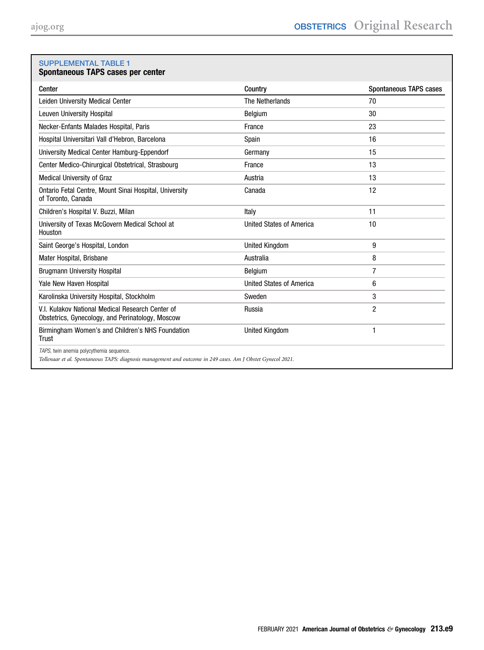# <span id="page-8-0"></span>SUPPLEMENTAL TABLE 1

# Spontaneous TAPS cases per center

| Center                                                                                                                                                  | Country                         | Spontaneous TAPS cases |
|---------------------------------------------------------------------------------------------------------------------------------------------------------|---------------------------------|------------------------|
| Leiden University Medical Center                                                                                                                        | The Netherlands                 | 70                     |
| Leuven University Hospital                                                                                                                              | Belgium                         | 30                     |
| Necker-Enfants Malades Hospital, Paris                                                                                                                  | France                          | 23                     |
| Hospital Universitari Vall d'Hebron, Barcelona                                                                                                          | Spain                           | 16                     |
| University Medical Center Hamburg-Eppendorf                                                                                                             | Germany                         | 15                     |
| Center Medico-Chirurgical Obstetrical, Strasbourg                                                                                                       | France                          | 13                     |
| Medical University of Graz                                                                                                                              | Austria                         | 13                     |
| Ontario Fetal Centre, Mount Sinai Hospital, University<br>of Toronto, Canada                                                                            | Canada                          | 12                     |
| Children's Hospital V. Buzzi, Milan                                                                                                                     | Italy                           | 11                     |
| University of Texas McGovern Medical School at<br>Houston                                                                                               | <b>United States of America</b> | 10                     |
| Saint George's Hospital, London                                                                                                                         | <b>United Kingdom</b>           | 9                      |
| Mater Hospital, Brisbane                                                                                                                                | Australia                       | 8                      |
| <b>Brugmann University Hospital</b>                                                                                                                     | <b>Belgium</b>                  | 7                      |
| Yale New Haven Hospital                                                                                                                                 | <b>United States of America</b> | 6                      |
| Karolinska University Hospital, Stockholm                                                                                                               | Sweden                          | 3                      |
| V.I. Kulakov National Medical Research Center of<br>Obstetrics, Gynecology, and Perinatology, Moscow                                                    | Russia                          | $\overline{c}$         |
| Birmingham Women's and Children's NHS Foundation<br>Trust                                                                                               | <b>United Kingdom</b>           | $\mathbf{1}$           |
| TAPS, twin anemia polycythemia sequence.<br>Tollenaar et al. Spontaneous TAPS: diagnosis management and outcome in 249 cases. Am J Obstet Gynecol 2021. |                                 |                        |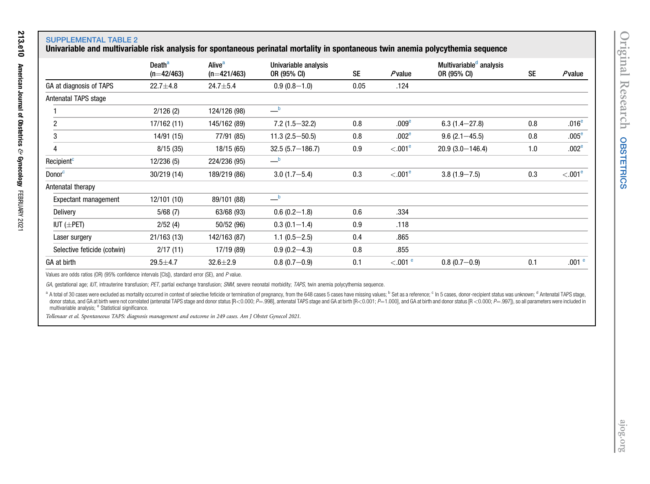# SUPPLEMENTAL TABLE 2

# Univariable and multivariable risk analysis for spontaneous perinatal mortality in spontaneous twin anemia polycythemia sequence

<span id="page-9-0"></span>

|                             | Death <sup>a</sup> | Alive <sup>a</sup> | Univariable analysis                             |      |                       | Multivariable <sup>a</sup> analysis |           |                     |
|-----------------------------|--------------------|--------------------|--------------------------------------------------|------|-----------------------|-------------------------------------|-----------|---------------------|
|                             | $(n=42/463)$       | $(n=421/463)$      | OR (95% CI)                                      | SE   | Pvalue                | OR (95% CI)                         | <b>SE</b> | Pvalue              |
| GA at diagnosis of TAPS     | $22.7 + 4.8$       | $24.7 + 5.4$       | $0.9(0.8-1.0)$                                   | 0.05 | .124                  |                                     |           |                     |
| Antenatal TAPS stage        |                    |                    |                                                  |      |                       |                                     |           |                     |
|                             | 2/126(2)           | 124/126 (98)       | $\overline{\phantom{a}}^{\phantom{a}\mathsf{b}}$ |      |                       |                                     |           |                     |
| $\overline{2}$              | 17/162 (11)        | 145/162 (89)       | $7.2(1.5 - 32.2)$                                | 0.8  | .009 <sup>e</sup>     | $6.3(1.4 - 27.8)$                   | 0.8       | .016 <sup>e</sup>   |
| 3                           | 14/91 (15)         | 77/91 (85)         | $11.3(2.5 - 50.5)$                               | 0.8  | .002 <sup>e</sup>     | $9.6(2.1 - 45.5)$                   | 0.8       | .005 <sup>e</sup>   |
| 4                           | 8/15(35)           | 18/15 (65)         | $32.5(5.7 - 186.7)$                              | 0.9  | < 0.01e               | $20.9(3.0 - 146.4)$                 | 1.0       | .002 <sup>e</sup>   |
| Recipient <sup>c</sup>      | 12/236 (5)         | 224/236 (95)       | $\equiv$ b                                       |      |                       |                                     |           |                     |
| Donor <sup>c</sup>          | 30/219 (14)        | 189/219 (86)       | $3.0(1.7 - 5.4)$                                 | 0.3  | $< 0.01^e$            | $3.8(1.9 - 7.5)$                    | 0.3       | < 0.01 <sup>e</sup> |
| Antenatal therapy           |                    |                    |                                                  |      |                       |                                     |           |                     |
| Expectant management        | 12/101 (10)        | 89/101 (88)        | $\overline{\phantom{a}}^{\phantom{a}\mathsf{b}}$ |      |                       |                                     |           |                     |
| Delivery                    | 5/68(7)            | 63/68 (93)         | $0.6(0.2-1.8)$                                   | 0.6  | .334                  |                                     |           |                     |
| IUT $(\pm$ PET)             | 2/52(4)            | 50/52 (96)         | $0.3(0.1-1.4)$                                   | 0.9  | .118                  |                                     |           |                     |
| Laser surgery               | 21/163 (13)        | 142/163 (87)       | $1.1(0.5-2.5)$                                   | 0.4  | .865                  |                                     |           |                     |
| Selective feticide (cotwin) | 2/17(11)           | 17/19 (89)         | $0.9(0.2 - 4.3)$                                 | 0.8  | .855                  |                                     |           |                     |
| GA at birth                 | $29.5 + 4.7$       | $32.6 \pm 2.9$     | $0.8(0.7-0.9)$                                   | 0.1  | $< 0.01$ <sup>e</sup> | $0.8(0.7-0.9)$                      | 0.1       | .001 <sup>e</sup>   |

Values are odds ratios (OR) (95% confidence intervals [CIs]), standard error (SE), and P value.

GA, gestational age; IUT, intrauterine transfusion; PET, partial exchange transfusion; SNM, severe neonatal morbidity; TAPS, twin anemia polycythemia sequence.

<span id="page-9-2"></span><span id="page-9-1"></span>a A total of 30 cases were excluded as mortality occurred in context of selective feticide or termination of pregnancy, from the 648 cases 5 cases have missing values; <sup>b</sup> Set as a reference; <sup>c</sup> In 5 cases, donor-recipien donor status, and GA at birth were not correlated (antenatal TAPS stage and donor status [R<0.000;  $P=998$ ], antenatal TAPS stage and GA at birth [R<0.001;  $P=1.000$ ], and GA at birth and donor status [R<0.000;  $P=997$ ]), multivariable analysis; <sup>e</sup> Statistical significance.

Tollenaar et al. Spontaneous TAPS: diagnosis managemen<sup>t</sup> and outcome in <sup>249</sup> cases. Am J Obstet Gynecol 2021.